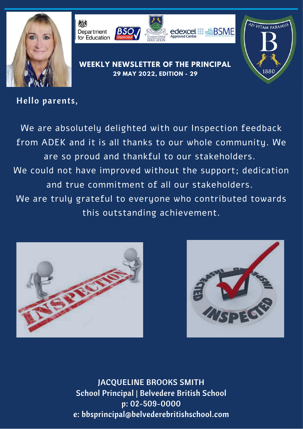



### Hello parents,

We are absolutely delighted with our Inspection feedback from ADEK and it is all thanks to our whole community. We are so proud and thankful to our stakeholders. We could not have improved without the support; dedication and true commitment of all our stakeholders. We are truly grateful to everyone who contributed towards this outstanding achievement.





**AD VITAM PARAMU** 

1880

JACQUELINE BROOKS SMITH School Principal | Belvedere British School p: 02-509-0000 e: bbsprincipal@belvederebritishschool.com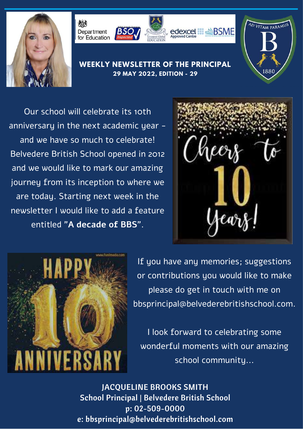



Our school will celebrate its 10th anniversary in the next academic year and we have so much to celebrate! Belvedere British School opened in 2012 and we would like to mark our amazing journey from its inception to where we are today. Starting next week in the newsletter I would like to add a feature entitled "**A decade of BBS**".



**AD VITAM PARAMU** 

1880



If you have any memories; suggestions or contributions you would like to make please do get in touch with me on [bbsprincipal@belvederebritishschool.com.](mailto:bbsprincipal@belvederebritishschool.com)

I look forward to celebrating some wonderful moments with our amazing school community...

JACQUELINE BROOKS SMITH School Principal | Belvedere British School p: 02-509-0000 e: bbsprincipal@belvederebritishschool.com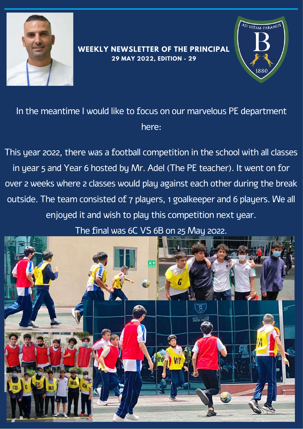



In the meantime I would like to focus on our marvelous PE department here:

This year 2022, there was a football competition in the school with all classes in year 5 and Year 6 hosted by Mr. Adel (The PE teacher). It went on for over 2 weeks where 2 classes would play against each other during the break outside. The team consisted of 7 players, 1 goalkeeper and 6 players. We all enjoyed it and wish to play this competition next year.

The final was 6C VS 6B on 25 May 2022.

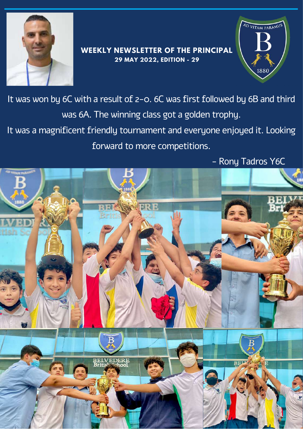



It was won by 6C with a result of 2-0. 6C was first followed by 6B and third was 6A. The winning class got a golden trophy. It was a magnificent friendly tournament and everyone enjoyed it. Looking

forward to more competitions.

- Rony Tadros Y6C

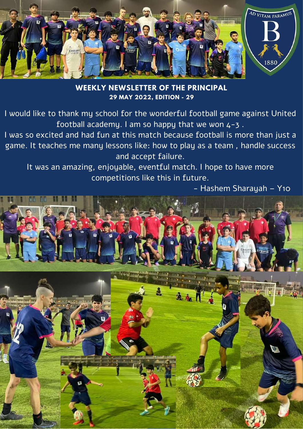

**WEEKLY NEWSLETTER OF THE PRINCIPAL 29 MAY 2022, EDITION - 29**

I would like to thank my school for the wonderful football game against United football academy. I am so happy that we won  $4-3$ .

I was so excited and had fun at this match because football is more than just a game. It teaches me many lessons like: how to play as a team , handle success and accept failure.

It was an amazing, enjoyable, eventful match. I hope to have more competitions like this in future.

- Hashem Sharayah – Y10

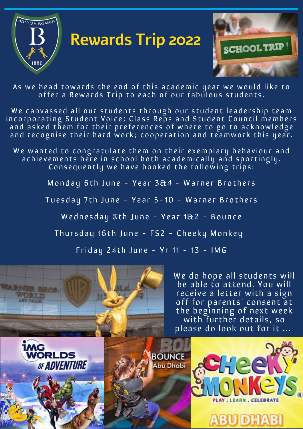

# **Rewards Trip 2022**



As we head towards the end of this academic year we would like to offer a Rewards Trip to each of our fabulous students.

We canvassed all our students through our student leadership team in corporating Student Voice; Class Reps and Student Council members and asked them for their preferences of where to go to acknowledge and recognise their hard work; cooperation and teamwork this year.

We wanted to congratulate them on their exemplary behaviour and achievements here in school both academically and sportingly. Consequently we have booked the following trips:

Monday 6th June - Year  $3&4$  - Warner Brothers

Tuesday 7th June - Year 5-10 - Warner Brothers

Wednesday 8th June - Year 1&2 - Bounce

Thursday 16th June - FS2 - Cheeky Monkey

Friday 24th June -  $Yr$  11 - 13 - IMG



We do hope all students will be able to attend. You will receive a letter with a sign off for parents' consent at the beginning of next week with further details, so please do look out for it ...

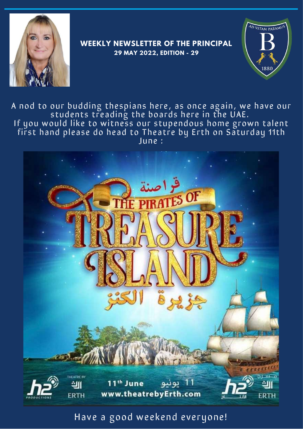



A nod to our budding thespians here, as once again, we have our students treading the boards here in the UAE. If you would like to witness our stupendous home grown talent first hand please do head to Theatre by Erth on Saturday 11th June :



## Have a good weekend everyone!